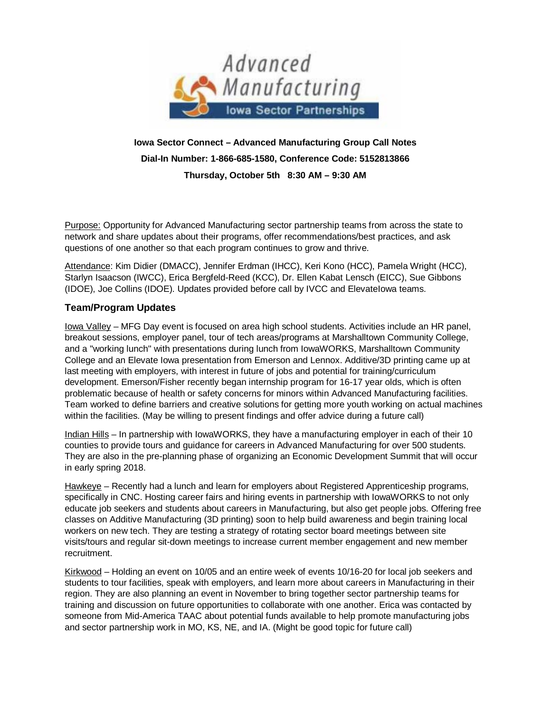

## **Iowa Sector Connect – Advanced Manufacturing Group Call Notes Dial-In Number: 1-866-685-1580, Conference Code: 5152813866 Thursday, October 5th 8:30 AM – 9:30 AM**

Purpose: Opportunity for Advanced Manufacturing sector partnership teams from across the state to network and share updates about their programs, offer recommendations/best practices, and ask questions of one another so that each program continues to grow and thrive.

Attendance: Kim Didier (DMACC), Jennifer Erdman (IHCC), Keri Kono (HCC), Pamela Wright (HCC), Starlyn Isaacson (IWCC), Erica Bergfeld-Reed (KCC), Dr. Ellen Kabat Lensch (EICC), Sue Gibbons (IDOE), Joe Collins (IDOE). Updates provided before call by IVCC and ElevateIowa teams.

## **Team/Program Updates**

Iowa Valley – MFG Day event is focused on area high school students. Activities include an HR panel, breakout sessions, employer panel, tour of tech areas/programs at Marshalltown Community College, and a "working lunch" with presentations during lunch from IowaWORKS, Marshalltown Community College and an Elevate Iowa presentation from Emerson and Lennox. Additive/3D printing came up at last meeting with employers, with interest in future of jobs and potential for training/curriculum development. Emerson/Fisher recently began internship program for 16-17 year olds, which is often problematic because of health or safety concerns for minors within Advanced Manufacturing facilities. Team worked to define barriers and creative solutions for getting more youth working on actual machines within the facilities. (May be willing to present findings and offer advice during a future call)

Indian Hills – In partnership with IowaWORKS, they have a manufacturing employer in each of their 10 counties to provide tours and guidance for careers in Advanced Manufacturing for over 500 students. They are also in the pre-planning phase of organizing an Economic Development Summit that will occur in early spring 2018.

Hawkeye – Recently had a lunch and learn for employers about Registered Apprenticeship programs, specifically in CNC. Hosting career fairs and hiring events in partnership with IowaWORKS to not only educate job seekers and students about careers in Manufacturing, but also get people jobs. Offering free classes on Additive Manufacturing (3D printing) soon to help build awareness and begin training local workers on new tech. They are testing a strategy of rotating sector board meetings between site visits/tours and regular sit-down meetings to increase current member engagement and new member recruitment.

Kirkwood – Holding an event on 10/05 and an entire week of events 10/16-20 for local job seekers and students to tour facilities, speak with employers, and learn more about careers in Manufacturing in their region. They are also planning an event in November to bring together sector partnership teams for training and discussion on future opportunities to collaborate with one another. Erica was contacted by someone from Mid-America TAAC about potential funds available to help promote manufacturing jobs and sector partnership work in MO, KS, NE, and IA. (Might be good topic for future call)